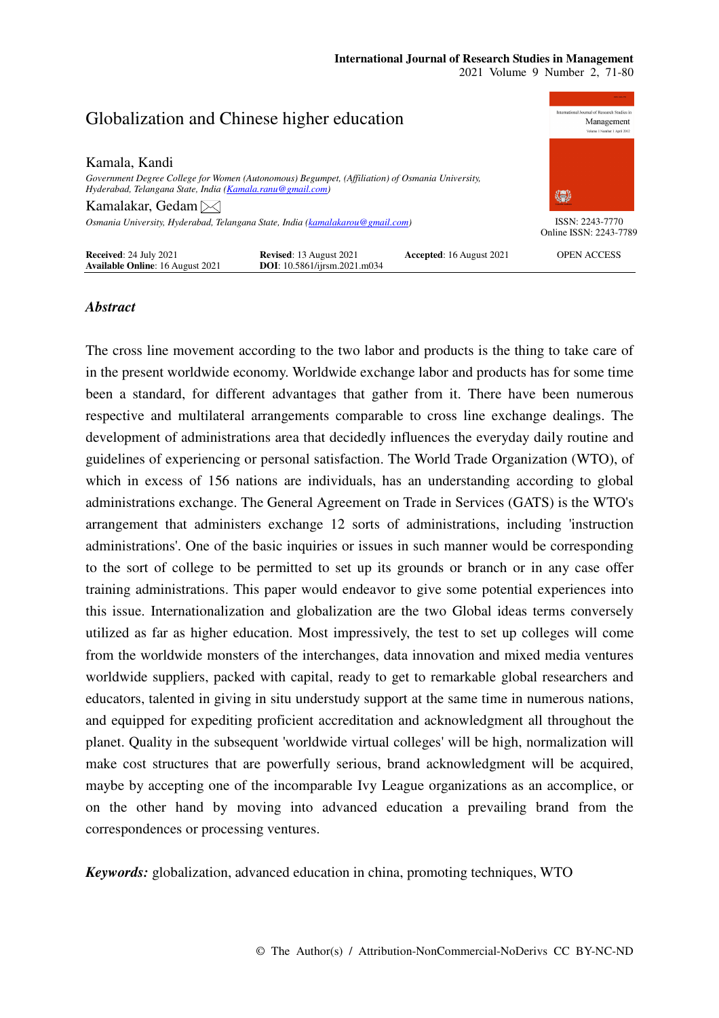#### **burnal** of Research Studies in Globalization and Chinese higher education Management Kamala, Kandi *Government Degree College for Women (Autonomous) Begumpet, (Affiliation) of Osmania University, Hyderabad, Telangana State, India (Kamala.ranu@gmail.com)*  缥 Kamalakar, Gedam *Osmania University, Hyderabad, Telangana State, India (kamalakarou@gmail.com)*  ISSN: 2243-7770 Online ISSN: 2243-7789 **Received**: 24 July 2021 **Revised**: 13 August 2021 **Accepted**: 16 August 2021 **Available Online**: 16 August 2021 **DOI**: 10.5861/ijrsm.2021.m034 OPEN ACCESS **Available Online**: 16 August 2021 **DOI**: 10.5861/ijrsm.2021.m034

# *Abstract*

The cross line movement according to the two labor and products is the thing to take care of in the present worldwide economy. Worldwide exchange labor and products has for some time been a standard, for different advantages that gather from it. There have been numerous respective and multilateral arrangements comparable to cross line exchange dealings. The development of administrations area that decidedly influences the everyday daily routine and guidelines of experiencing or personal satisfaction. The World Trade Organization (WTO), of which in excess of 156 nations are individuals, has an understanding according to global administrations exchange. The General Agreement on Trade in Services (GATS) is the WTO's arrangement that administers exchange 12 sorts of administrations, including 'instruction administrations'. One of the basic inquiries or issues in such manner would be corresponding to the sort of college to be permitted to set up its grounds or branch or in any case offer training administrations. This paper would endeavor to give some potential experiences into this issue. Internationalization and globalization are the two Global ideas terms conversely utilized as far as higher education. Most impressively, the test to set up colleges will come from the worldwide monsters of the interchanges, data innovation and mixed media ventures worldwide suppliers, packed with capital, ready to get to remarkable global researchers and educators, talented in giving in situ understudy support at the same time in numerous nations, and equipped for expediting proficient accreditation and acknowledgment all throughout the planet. Quality in the subsequent 'worldwide virtual colleges' will be high, normalization will make cost structures that are powerfully serious, brand acknowledgment will be acquired, maybe by accepting one of the incomparable Ivy League organizations as an accomplice, or on the other hand by moving into advanced education a prevailing brand from the correspondences or processing ventures.

*Keywords:* globalization, advanced education in china, promoting techniques, WTO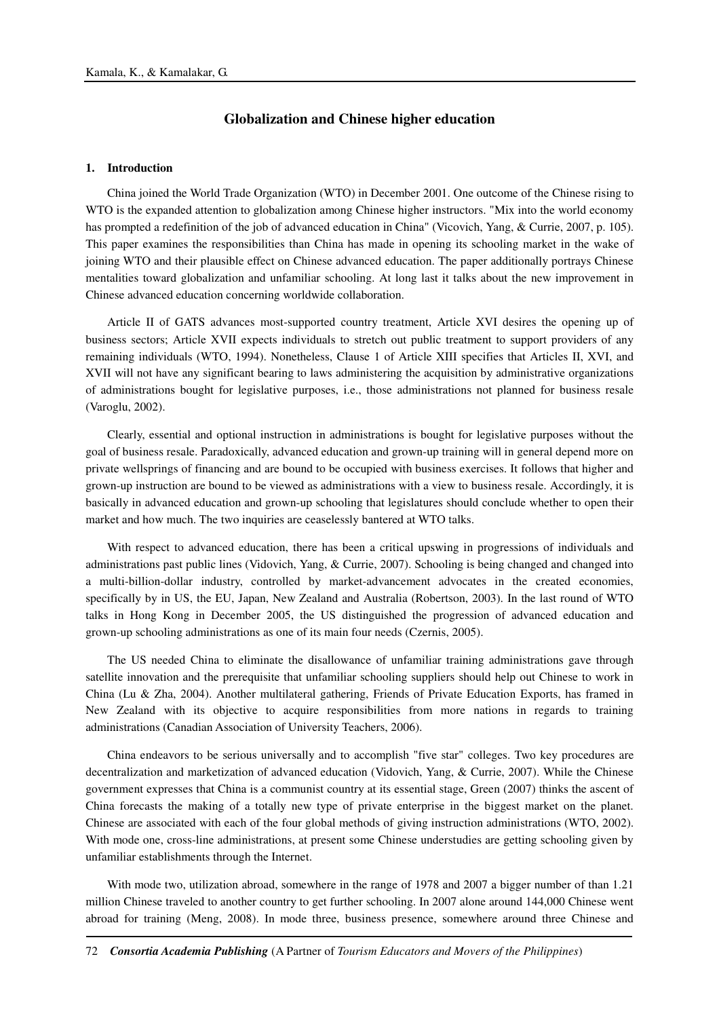# **Globalization and Chinese higher education**

### **1. Introduction**

China joined the World Trade Organization (WTO) in December 2001. One outcome of the Chinese rising to WTO is the expanded attention to globalization among Chinese higher instructors. "Mix into the world economy has prompted a redefinition of the job of advanced education in China" (Vicovich, Yang, & Currie, 2007, p. 105). This paper examines the responsibilities than China has made in opening its schooling market in the wake of joining WTO and their plausible effect on Chinese advanced education. The paper additionally portrays Chinese mentalities toward globalization and unfamiliar schooling. At long last it talks about the new improvement in Chinese advanced education concerning worldwide collaboration.

Article II of GATS advances most-supported country treatment, Article XVI desires the opening up of business sectors; Article XVII expects individuals to stretch out public treatment to support providers of any remaining individuals (WTO, 1994). Nonetheless, Clause 1 of Article XIII specifies that Articles II, XVI, and XVII will not have any significant bearing to laws administering the acquisition by administrative organizations of administrations bought for legislative purposes, i.e., those administrations not planned for business resale (Varoglu, 2002).

Clearly, essential and optional instruction in administrations is bought for legislative purposes without the goal of business resale. Paradoxically, advanced education and grown-up training will in general depend more on private wellsprings of financing and are bound to be occupied with business exercises. It follows that higher and grown-up instruction are bound to be viewed as administrations with a view to business resale. Accordingly, it is basically in advanced education and grown-up schooling that legislatures should conclude whether to open their market and how much. The two inquiries are ceaselessly bantered at WTO talks.

With respect to advanced education, there has been a critical upswing in progressions of individuals and administrations past public lines (Vidovich, Yang, & Currie, 2007). Schooling is being changed and changed into a multi-billion-dollar industry, controlled by market-advancement advocates in the created economies, specifically by in US, the EU, Japan, New Zealand and Australia (Robertson, 2003). In the last round of WTO talks in Hong Kong in December 2005, the US distinguished the progression of advanced education and grown-up schooling administrations as one of its main four needs (Czernis, 2005).

The US needed China to eliminate the disallowance of unfamiliar training administrations gave through satellite innovation and the prerequisite that unfamiliar schooling suppliers should help out Chinese to work in China (Lu & Zha, 2004). Another multilateral gathering, Friends of Private Education Exports, has framed in New Zealand with its objective to acquire responsibilities from more nations in regards to training administrations (Canadian Association of University Teachers, 2006).

China endeavors to be serious universally and to accomplish "five star" colleges. Two key procedures are decentralization and marketization of advanced education (Vidovich, Yang, & Currie, 2007). While the Chinese government expresses that China is a communist country at its essential stage, Green (2007) thinks the ascent of China forecasts the making of a totally new type of private enterprise in the biggest market on the planet. Chinese are associated with each of the four global methods of giving instruction administrations (WTO, 2002). With mode one, cross-line administrations, at present some Chinese understudies are getting schooling given by unfamiliar establishments through the Internet.

With mode two, utilization abroad, somewhere in the range of 1978 and 2007 a bigger number of than 1.21 million Chinese traveled to another country to get further schooling. In 2007 alone around 144,000 Chinese went abroad for training (Meng, 2008). In mode three, business presence, somewhere around three Chinese and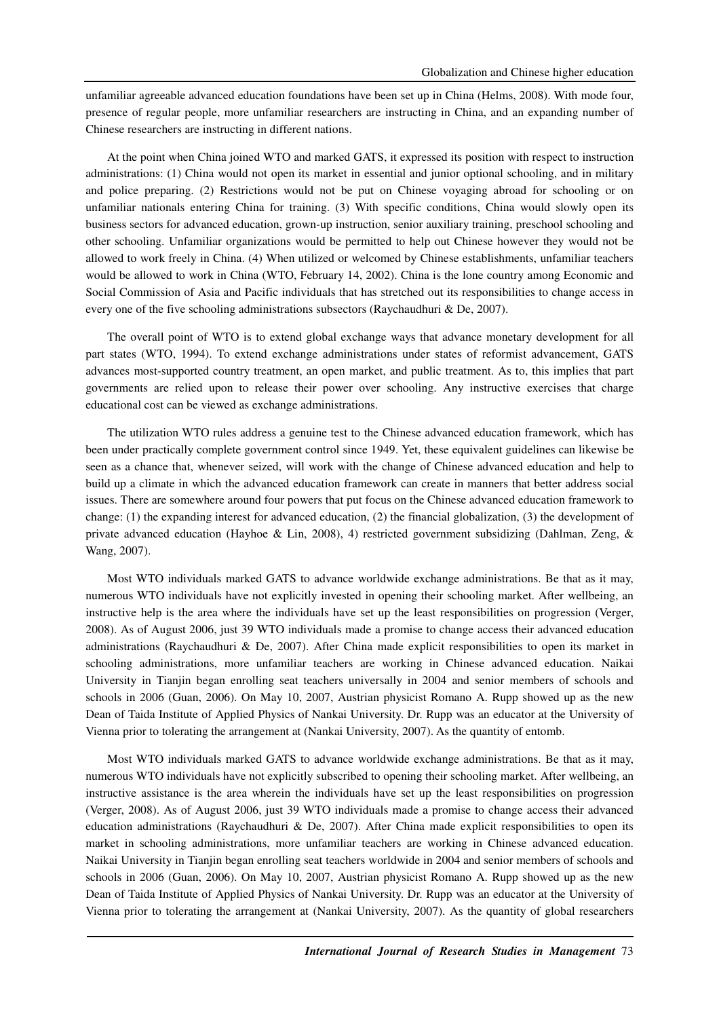unfamiliar agreeable advanced education foundations have been set up in China (Helms, 2008). With mode four, presence of regular people, more unfamiliar researchers are instructing in China, and an expanding number of Chinese researchers are instructing in different nations.

At the point when China joined WTO and marked GATS, it expressed its position with respect to instruction administrations: (1) China would not open its market in essential and junior optional schooling, and in military and police preparing. (2) Restrictions would not be put on Chinese voyaging abroad for schooling or on unfamiliar nationals entering China for training. (3) With specific conditions, China would slowly open its business sectors for advanced education, grown-up instruction, senior auxiliary training, preschool schooling and other schooling. Unfamiliar organizations would be permitted to help out Chinese however they would not be allowed to work freely in China. (4) When utilized or welcomed by Chinese establishments, unfamiliar teachers would be allowed to work in China (WTO, February 14, 2002). China is the lone country among Economic and Social Commission of Asia and Pacific individuals that has stretched out its responsibilities to change access in every one of the five schooling administrations subsectors (Raychaudhuri & De, 2007).

The overall point of WTO is to extend global exchange ways that advance monetary development for all part states (WTO, 1994). To extend exchange administrations under states of reformist advancement, GATS advances most-supported country treatment, an open market, and public treatment. As to, this implies that part governments are relied upon to release their power over schooling. Any instructive exercises that charge educational cost can be viewed as exchange administrations.

The utilization WTO rules address a genuine test to the Chinese advanced education framework, which has been under practically complete government control since 1949. Yet, these equivalent guidelines can likewise be seen as a chance that, whenever seized, will work with the change of Chinese advanced education and help to build up a climate in which the advanced education framework can create in manners that better address social issues. There are somewhere around four powers that put focus on the Chinese advanced education framework to change: (1) the expanding interest for advanced education, (2) the financial globalization, (3) the development of private advanced education (Hayhoe & Lin, 2008), 4) restricted government subsidizing (Dahlman, Zeng, & Wang, 2007).

Most WTO individuals marked GATS to advance worldwide exchange administrations. Be that as it may, numerous WTO individuals have not explicitly invested in opening their schooling market. After wellbeing, an instructive help is the area where the individuals have set up the least responsibilities on progression (Verger, 2008). As of August 2006, just 39 WTO individuals made a promise to change access their advanced education administrations (Raychaudhuri & De, 2007). After China made explicit responsibilities to open its market in schooling administrations, more unfamiliar teachers are working in Chinese advanced education. Naikai University in Tianjin began enrolling seat teachers universally in 2004 and senior members of schools and schools in 2006 (Guan, 2006). On May 10, 2007, Austrian physicist Romano A. Rupp showed up as the new Dean of Taida Institute of Applied Physics of Nankai University. Dr. Rupp was an educator at the University of Vienna prior to tolerating the arrangement at (Nankai University, 2007). As the quantity of entomb.

Most WTO individuals marked GATS to advance worldwide exchange administrations. Be that as it may, numerous WTO individuals have not explicitly subscribed to opening their schooling market. After wellbeing, an instructive assistance is the area wherein the individuals have set up the least responsibilities on progression (Verger, 2008). As of August 2006, just 39 WTO individuals made a promise to change access their advanced education administrations (Raychaudhuri & De, 2007). After China made explicit responsibilities to open its market in schooling administrations, more unfamiliar teachers are working in Chinese advanced education. Naikai University in Tianjin began enrolling seat teachers worldwide in 2004 and senior members of schools and schools in 2006 (Guan, 2006). On May 10, 2007, Austrian physicist Romano A. Rupp showed up as the new Dean of Taida Institute of Applied Physics of Nankai University. Dr. Rupp was an educator at the University of Vienna prior to tolerating the arrangement at (Nankai University, 2007). As the quantity of global researchers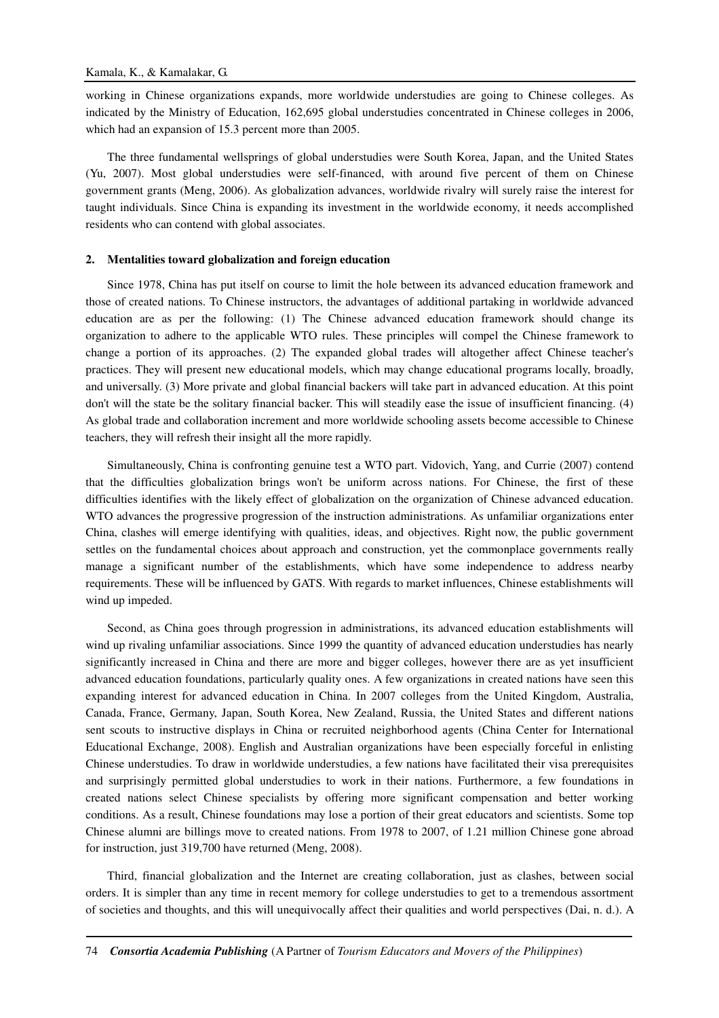working in Chinese organizations expands, more worldwide understudies are going to Chinese colleges. As indicated by the Ministry of Education, 162,695 global understudies concentrated in Chinese colleges in 2006, which had an expansion of 15.3 percent more than 2005.

The three fundamental wellsprings of global understudies were South Korea, Japan, and the United States (Yu, 2007). Most global understudies were self-financed, with around five percent of them on Chinese government grants (Meng, 2006). As globalization advances, worldwide rivalry will surely raise the interest for taught individuals. Since China is expanding its investment in the worldwide economy, it needs accomplished residents who can contend with global associates.

#### **2. Mentalities toward globalization and foreign education**

Since 1978, China has put itself on course to limit the hole between its advanced education framework and those of created nations. To Chinese instructors, the advantages of additional partaking in worldwide advanced education are as per the following: (1) The Chinese advanced education framework should change its organization to adhere to the applicable WTO rules. These principles will compel the Chinese framework to change a portion of its approaches. (2) The expanded global trades will altogether affect Chinese teacher's practices. They will present new educational models, which may change educational programs locally, broadly, and universally. (3) More private and global financial backers will take part in advanced education. At this point don't will the state be the solitary financial backer. This will steadily ease the issue of insufficient financing. (4) As global trade and collaboration increment and more worldwide schooling assets become accessible to Chinese teachers, they will refresh their insight all the more rapidly.

Simultaneously, China is confronting genuine test a WTO part. Vidovich, Yang, and Currie (2007) contend that the difficulties globalization brings won't be uniform across nations. For Chinese, the first of these difficulties identifies with the likely effect of globalization on the organization of Chinese advanced education. WTO advances the progressive progression of the instruction administrations. As unfamiliar organizations enter China, clashes will emerge identifying with qualities, ideas, and objectives. Right now, the public government settles on the fundamental choices about approach and construction, yet the commonplace governments really manage a significant number of the establishments, which have some independence to address nearby requirements. These will be influenced by GATS. With regards to market influences, Chinese establishments will wind up impeded.

Second, as China goes through progression in administrations, its advanced education establishments will wind up rivaling unfamiliar associations. Since 1999 the quantity of advanced education understudies has nearly significantly increased in China and there are more and bigger colleges, however there are as yet insufficient advanced education foundations, particularly quality ones. A few organizations in created nations have seen this expanding interest for advanced education in China. In 2007 colleges from the United Kingdom, Australia, Canada, France, Germany, Japan, South Korea, New Zealand, Russia, the United States and different nations sent scouts to instructive displays in China or recruited neighborhood agents (China Center for International Educational Exchange, 2008). English and Australian organizations have been especially forceful in enlisting Chinese understudies. To draw in worldwide understudies, a few nations have facilitated their visa prerequisites and surprisingly permitted global understudies to work in their nations. Furthermore, a few foundations in created nations select Chinese specialists by offering more significant compensation and better working conditions. As a result, Chinese foundations may lose a portion of their great educators and scientists. Some top Chinese alumni are billings move to created nations. From 1978 to 2007, of 1.21 million Chinese gone abroad for instruction, just 319,700 have returned (Meng, 2008).

Third, financial globalization and the Internet are creating collaboration, just as clashes, between social orders. It is simpler than any time in recent memory for college understudies to get to a tremendous assortment of societies and thoughts, and this will unequivocally affect their qualities and world perspectives (Dai, n. d.). A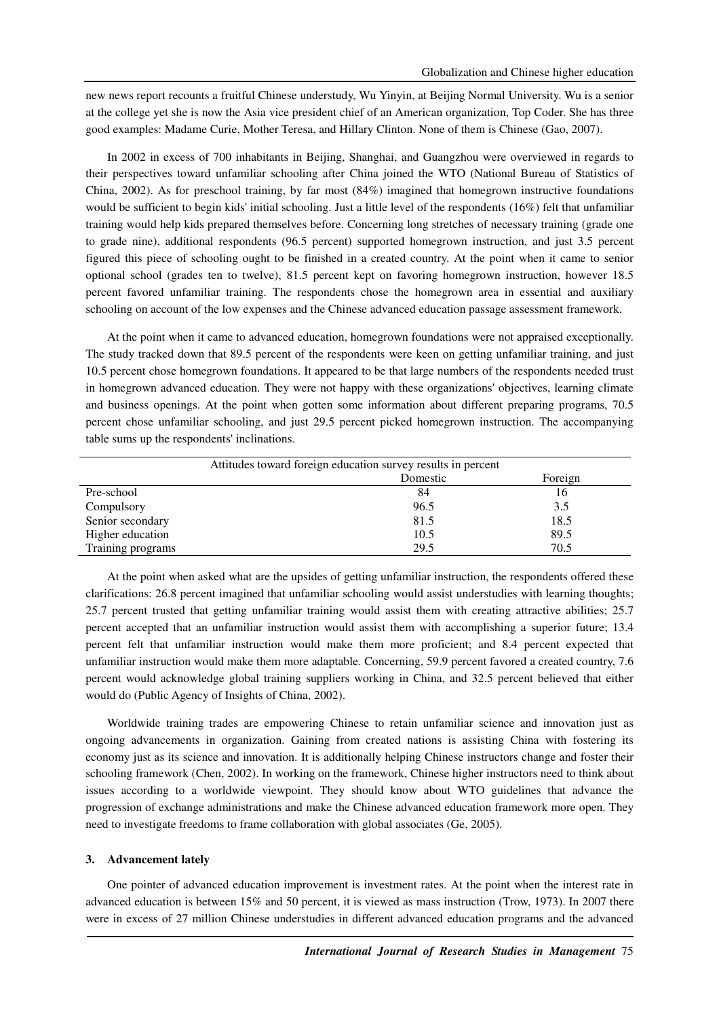new news report recounts a fruitful Chinese understudy, Wu Yinyin, at Beijing Normal University. Wu is a senior at the college yet she is now the Asia vice president chief of an American organization, Top Coder. She has three good examples: Madame Curie, Mother Teresa, and Hillary Clinton. None of them is Chinese (Gao, 2007).

In 2002 in excess of 700 inhabitants in Beijing, Shanghai, and Guangzhou were overviewed in regards to their perspectives toward unfamiliar schooling after China joined the WTO (National Bureau of Statistics of China, 2002). As for preschool training, by far most (84%) imagined that homegrown instructive foundations would be sufficient to begin kids' initial schooling. Just a little level of the respondents (16%) felt that unfamiliar training would help kids prepared themselves before. Concerning long stretches of necessary training (grade one to grade nine), additional respondents (96.5 percent) supported homegrown instruction, and just 3.5 percent figured this piece of schooling ought to be finished in a created country. At the point when it came to senior optional school (grades ten to twelve), 81.5 percent kept on favoring homegrown instruction, however 18.5 percent favored unfamiliar training. The respondents chose the homegrown area in essential and auxiliary schooling on account of the low expenses and the Chinese advanced education passage assessment framework.

At the point when it came to advanced education, homegrown foundations were not appraised exceptionally. The study tracked down that 89.5 percent of the respondents were keen on getting unfamiliar training, and just 10.5 percent chose homegrown foundations. It appeared to be that large numbers of the respondents needed trust in homegrown advanced education. They were not happy with these organizations' objectives, learning climate and business openings. At the point when gotten some information about different preparing programs, 70.5 percent chose unfamiliar schooling, and just 29.5 percent picked homegrown instruction. The accompanying table sums up the respondents' inclinations.

| Attitudes toward foreign education survey results in percent |          |         |
|--------------------------------------------------------------|----------|---------|
|                                                              | Domestic | Foreign |
| Pre-school                                                   | 84       | 16      |
| Compulsory                                                   | 96.5     | 3.5     |
| Senior secondary                                             | 81.5     | 18.5    |
| Higher education                                             | 10.5     | 89.5    |
| Training programs                                            | 29.5     | 70.5    |

At the point when asked what are the upsides of getting unfamiliar instruction, the respondents offered these clarifications: 26.8 percent imagined that unfamiliar schooling would assist understudies with learning thoughts; 25.7 percent trusted that getting unfamiliar training would assist them with creating attractive abilities; 25.7 percent accepted that an unfamiliar instruction would assist them with accomplishing a superior future; 13.4 percent felt that unfamiliar instruction would make them more proficient; and 8.4 percent expected that unfamiliar instruction would make them more adaptable. Concerning, 59.9 percent favored a created country, 7.6 percent would acknowledge global training suppliers working in China, and 32.5 percent believed that either would do (Public Agency of Insights of China, 2002).

Worldwide training trades are empowering Chinese to retain unfamiliar science and innovation just as ongoing advancements in organization. Gaining from created nations is assisting China with fostering its economy just as its science and innovation. It is additionally helping Chinese instructors change and foster their schooling framework (Chen, 2002). In working on the framework, Chinese higher instructors need to think about issues according to a worldwide viewpoint. They should know about WTO guidelines that advance the progression of exchange administrations and make the Chinese advanced education framework more open. They need to investigate freedoms to frame collaboration with global associates (Ge, 2005).

### **3. Advancement lately**

One pointer of advanced education improvement is investment rates. At the point when the interest rate in advanced education is between 15% and 50 percent, it is viewed as mass instruction (Trow, 1973). In 2007 there were in excess of 27 million Chinese understudies in different advanced education programs and the advanced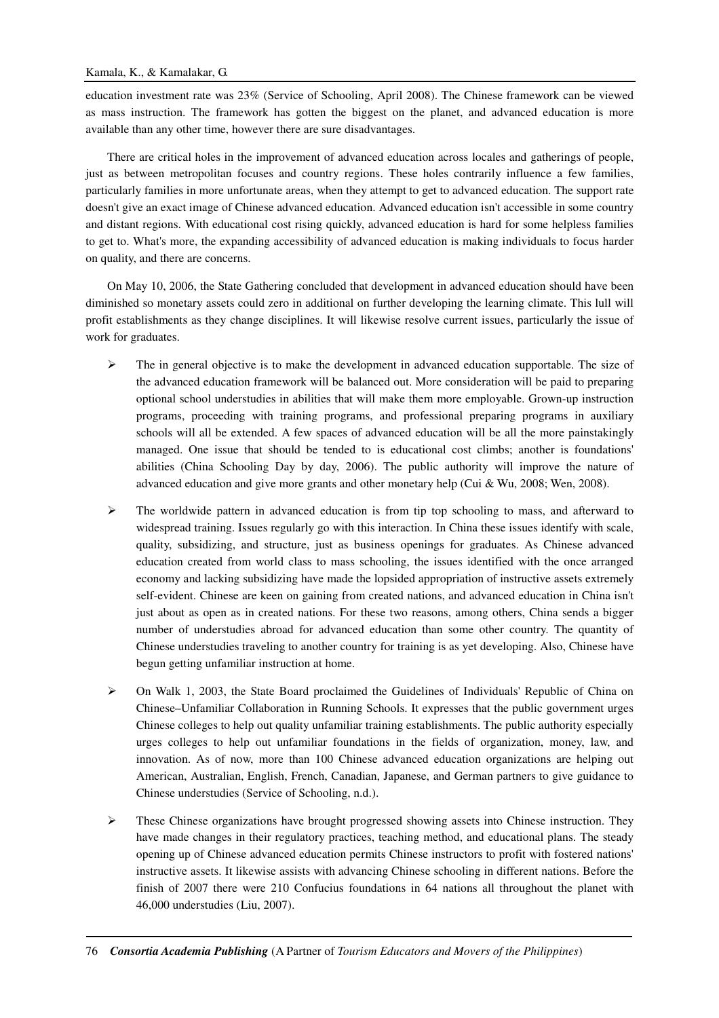education investment rate was 23% (Service of Schooling, April 2008). The Chinese framework can be viewed as mass instruction. The framework has gotten the biggest on the planet, and advanced education is more available than any other time, however there are sure disadvantages.

There are critical holes in the improvement of advanced education across locales and gatherings of people, just as between metropolitan focuses and country regions. These holes contrarily influence a few families, particularly families in more unfortunate areas, when they attempt to get to advanced education. The support rate doesn't give an exact image of Chinese advanced education. Advanced education isn't accessible in some country and distant regions. With educational cost rising quickly, advanced education is hard for some helpless families to get to. What's more, the expanding accessibility of advanced education is making individuals to focus harder on quality, and there are concerns.

On May 10, 2006, the State Gathering concluded that development in advanced education should have been diminished so monetary assets could zero in additional on further developing the learning climate. This lull will profit establishments as they change disciplines. It will likewise resolve current issues, particularly the issue of work for graduates.

- $\triangleright$  The in general objective is to make the development in advanced education supportable. The size of the advanced education framework will be balanced out. More consideration will be paid to preparing optional school understudies in abilities that will make them more employable. Grown-up instruction programs, proceeding with training programs, and professional preparing programs in auxiliary schools will all be extended. A few spaces of advanced education will be all the more painstakingly managed. One issue that should be tended to is educational cost climbs; another is foundations' abilities (China Schooling Day by day, 2006). The public authority will improve the nature of advanced education and give more grants and other monetary help (Cui & Wu, 2008; Wen, 2008).
- $\triangleright$  The worldwide pattern in advanced education is from tip top schooling to mass, and afterward to widespread training. Issues regularly go with this interaction. In China these issues identify with scale, quality, subsidizing, and structure, just as business openings for graduates. As Chinese advanced education created from world class to mass schooling, the issues identified with the once arranged economy and lacking subsidizing have made the lopsided appropriation of instructive assets extremely self-evident. Chinese are keen on gaining from created nations, and advanced education in China isn't just about as open as in created nations. For these two reasons, among others, China sends a bigger number of understudies abroad for advanced education than some other country. The quantity of Chinese understudies traveling to another country for training is as yet developing. Also, Chinese have begun getting unfamiliar instruction at home.
- $\triangleright$  On Walk 1, 2003, the State Board proclaimed the Guidelines of Individuals' Republic of China on Chinese–Unfamiliar Collaboration in Running Schools. It expresses that the public government urges Chinese colleges to help out quality unfamiliar training establishments. The public authority especially urges colleges to help out unfamiliar foundations in the fields of organization, money, law, and innovation. As of now, more than 100 Chinese advanced education organizations are helping out American, Australian, English, French, Canadian, Japanese, and German partners to give guidance to Chinese understudies (Service of Schooling, n.d.).
- $\triangleright$  These Chinese organizations have brought progressed showing assets into Chinese instruction. They have made changes in their regulatory practices, teaching method, and educational plans. The steady opening up of Chinese advanced education permits Chinese instructors to profit with fostered nations' instructive assets. It likewise assists with advancing Chinese schooling in different nations. Before the finish of 2007 there were 210 Confucius foundations in 64 nations all throughout the planet with 46,000 understudies (Liu, 2007).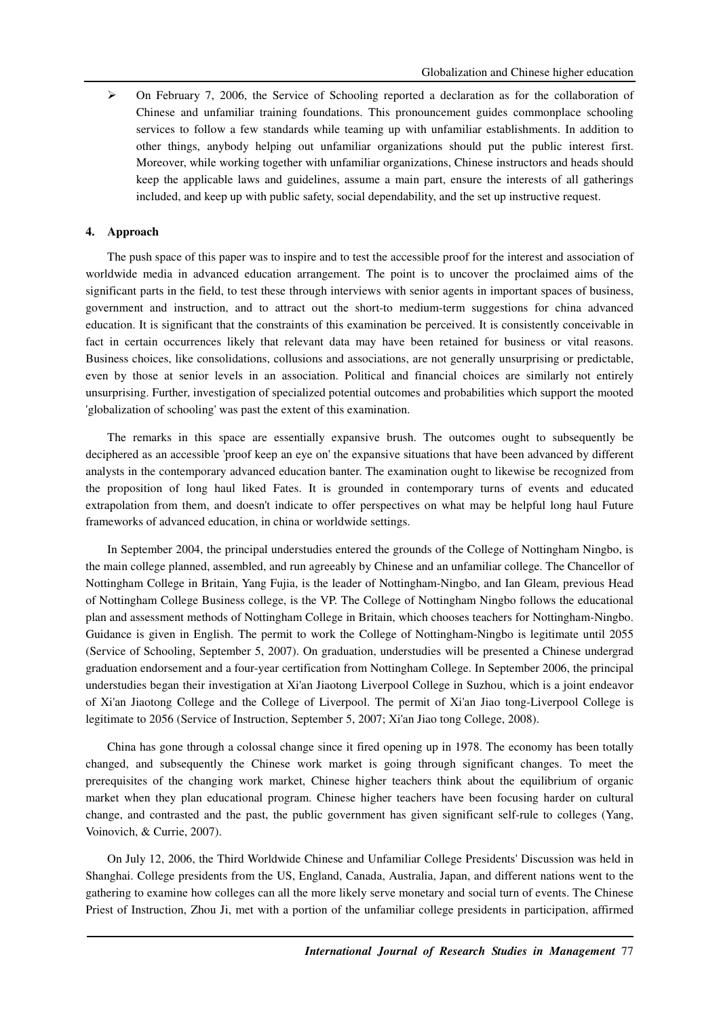$\triangleright$  On February 7, 2006, the Service of Schooling reported a declaration as for the collaboration of Chinese and unfamiliar training foundations. This pronouncement guides commonplace schooling services to follow a few standards while teaming up with unfamiliar establishments. In addition to other things, anybody helping out unfamiliar organizations should put the public interest first. Moreover, while working together with unfamiliar organizations, Chinese instructors and heads should keep the applicable laws and guidelines, assume a main part, ensure the interests of all gatherings included, and keep up with public safety, social dependability, and the set up instructive request.

# **4. Approach**

The push space of this paper was to inspire and to test the accessible proof for the interest and association of worldwide media in advanced education arrangement. The point is to uncover the proclaimed aims of the significant parts in the field, to test these through interviews with senior agents in important spaces of business, government and instruction, and to attract out the short-to medium-term suggestions for china advanced education. It is significant that the constraints of this examination be perceived. It is consistently conceivable in fact in certain occurrences likely that relevant data may have been retained for business or vital reasons. Business choices, like consolidations, collusions and associations, are not generally unsurprising or predictable, even by those at senior levels in an association. Political and financial choices are similarly not entirely unsurprising. Further, investigation of specialized potential outcomes and probabilities which support the mooted 'globalization of schooling' was past the extent of this examination.

The remarks in this space are essentially expansive brush. The outcomes ought to subsequently be deciphered as an accessible 'proof keep an eye on' the expansive situations that have been advanced by different analysts in the contemporary advanced education banter. The examination ought to likewise be recognized from the proposition of long haul liked Fates. It is grounded in contemporary turns of events and educated extrapolation from them, and doesn't indicate to offer perspectives on what may be helpful long haul Future frameworks of advanced education, in china or worldwide settings.

In September 2004, the principal understudies entered the grounds of the College of Nottingham Ningbo, is the main college planned, assembled, and run agreeably by Chinese and an unfamiliar college. The Chancellor of Nottingham College in Britain, Yang Fujia, is the leader of Nottingham-Ningbo, and Ian Gleam, previous Head of Nottingham College Business college, is the VP. The College of Nottingham Ningbo follows the educational plan and assessment methods of Nottingham College in Britain, which chooses teachers for Nottingham-Ningbo. Guidance is given in English. The permit to work the College of Nottingham-Ningbo is legitimate until 2055 (Service of Schooling, September 5, 2007). On graduation, understudies will be presented a Chinese undergrad graduation endorsement and a four-year certification from Nottingham College. In September 2006, the principal understudies began their investigation at Xi'an Jiaotong Liverpool College in Suzhou, which is a joint endeavor of Xi'an Jiaotong College and the College of Liverpool. The permit of Xi'an Jiao tong-Liverpool College is legitimate to 2056 (Service of Instruction, September 5, 2007; Xi'an Jiao tong College, 2008).

China has gone through a colossal change since it fired opening up in 1978. The economy has been totally changed, and subsequently the Chinese work market is going through significant changes. To meet the prerequisites of the changing work market, Chinese higher teachers think about the equilibrium of organic market when they plan educational program. Chinese higher teachers have been focusing harder on cultural change, and contrasted and the past, the public government has given significant self-rule to colleges (Yang, Voinovich, & Currie, 2007).

On July 12, 2006, the Third Worldwide Chinese and Unfamiliar College Presidents' Discussion was held in Shanghai. College presidents from the US, England, Canada, Australia, Japan, and different nations went to the gathering to examine how colleges can all the more likely serve monetary and social turn of events. The Chinese Priest of Instruction, Zhou Ji, met with a portion of the unfamiliar college presidents in participation, affirmed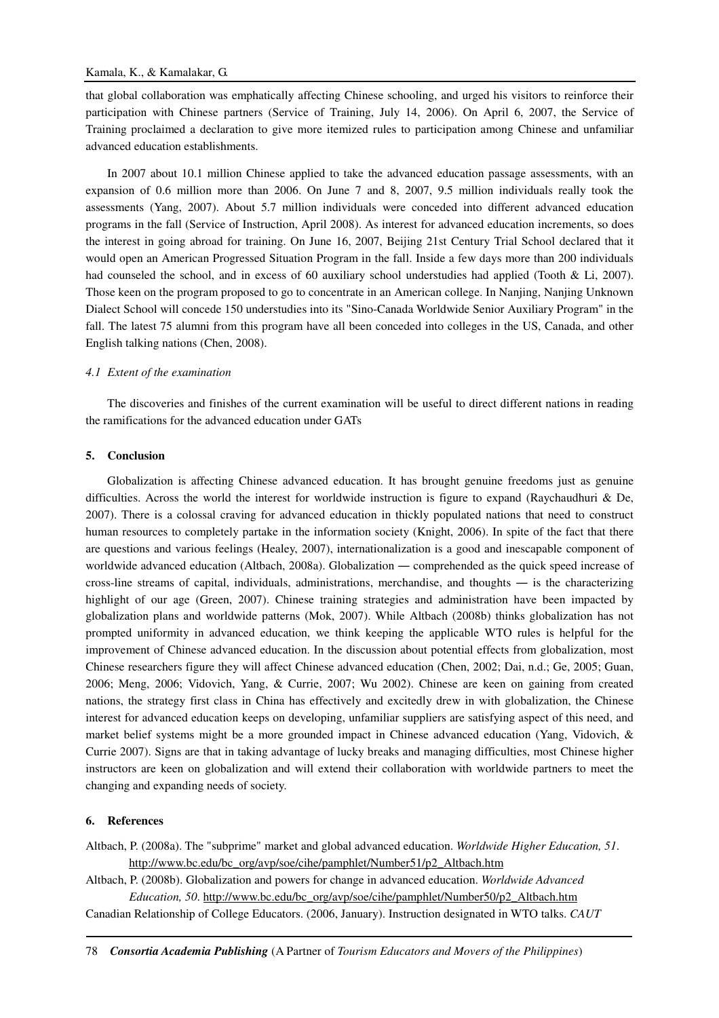that global collaboration was emphatically affecting Chinese schooling, and urged his visitors to reinforce their participation with Chinese partners (Service of Training, July 14, 2006). On April 6, 2007, the Service of Training proclaimed a declaration to give more itemized rules to participation among Chinese and unfamiliar advanced education establishments.

In 2007 about 10.1 million Chinese applied to take the advanced education passage assessments, with an expansion of 0.6 million more than 2006. On June 7 and 8, 2007, 9.5 million individuals really took the assessments (Yang, 2007). About 5.7 million individuals were conceded into different advanced education programs in the fall (Service of Instruction, April 2008). As interest for advanced education increments, so does the interest in going abroad for training. On June 16, 2007, Beijing 21st Century Trial School declared that it would open an American Progressed Situation Program in the fall. Inside a few days more than 200 individuals had counseled the school, and in excess of 60 auxiliary school understudies had applied (Tooth & Li, 2007). Those keen on the program proposed to go to concentrate in an American college. In Nanjing, Nanjing Unknown Dialect School will concede 150 understudies into its "Sino-Canada Worldwide Senior Auxiliary Program" in the fall. The latest 75 alumni from this program have all been conceded into colleges in the US, Canada, and other English talking nations (Chen, 2008).

### *4.1 Extent of the examination*

The discoveries and finishes of the current examination will be useful to direct different nations in reading the ramifications for the advanced education under GATs

### **5. Conclusion**

Globalization is affecting Chinese advanced education. It has brought genuine freedoms just as genuine difficulties. Across the world the interest for worldwide instruction is figure to expand (Raychaudhuri & De, 2007). There is a colossal craving for advanced education in thickly populated nations that need to construct human resources to completely partake in the information society (Knight, 2006). In spite of the fact that there are questions and various feelings (Healey, 2007), internationalization is a good and inescapable component of worldwide advanced education (Altbach, 2008a). Globalization — comprehended as the quick speed increase of cross-line streams of capital, individuals, administrations, merchandise, and thoughts ― is the characterizing highlight of our age (Green, 2007). Chinese training strategies and administration have been impacted by globalization plans and worldwide patterns (Mok, 2007). While Altbach (2008b) thinks globalization has not prompted uniformity in advanced education, we think keeping the applicable WTO rules is helpful for the improvement of Chinese advanced education. In the discussion about potential effects from globalization, most Chinese researchers figure they will affect Chinese advanced education (Chen, 2002; Dai, n.d.; Ge, 2005; Guan, 2006; Meng, 2006; Vidovich, Yang, & Currie, 2007; Wu 2002). Chinese are keen on gaining from created nations, the strategy first class in China has effectively and excitedly drew in with globalization, the Chinese interest for advanced education keeps on developing, unfamiliar suppliers are satisfying aspect of this need, and market belief systems might be a more grounded impact in Chinese advanced education (Yang, Vidovich, & Currie 2007). Signs are that in taking advantage of lucky breaks and managing difficulties, most Chinese higher instructors are keen on globalization and will extend their collaboration with worldwide partners to meet the changing and expanding needs of society.

### **6. References**

Altbach, P. (2008a). The "subprime" market and global advanced education. *Worldwide Higher Education, 51*. http://www.bc.edu/bc\_org/avp/soe/cihe/pamphlet/Number51/p2\_Altbach.htm

Altbach, P. (2008b). Globalization and powers for change in advanced education. *Worldwide Advanced Education, 50*. http://www.bc.edu/bc\_org/avp/soe/cihe/pamphlet/Number50/p2\_Altbach.htm

Canadian Relationship of College Educators. (2006, January). Instruction designated in WTO talks. *CAUT*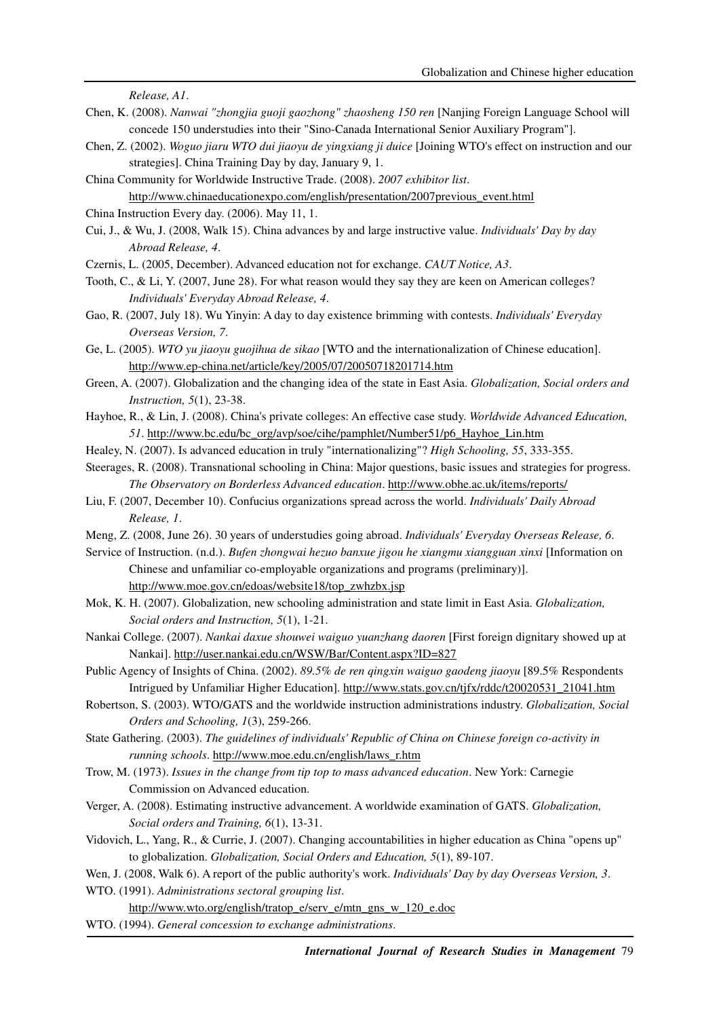*Release, A1*.

- Chen, K. (2008). *Nanwai "zhongjia guoji gaozhong" zhaosheng 150 ren* [Nanjing Foreign Language School will concede 150 understudies into their "Sino-Canada International Senior Auxiliary Program"].
- Chen, Z. (2002). *Woguo jiaru WTO dui jiaoyu de yingxiang ji duice* [Joining WTO's effect on instruction and our strategies]. China Training Day by day, January 9, 1.
- China Community for Worldwide Instructive Trade. (2008). *2007 exhibitor list*. http://www.chinaeducationexpo.com/english/presentation/2007previous\_event.html
- China Instruction Every day. (2006). May 11, 1.
- Cui, J., & Wu, J. (2008, Walk 15). China advances by and large instructive value. *Individuals' Day by day Abroad Release, 4*.
- Czernis, L. (2005, December). Advanced education not for exchange. *CAUT Notice, A3*.
- Tooth, C., & Li, Y. (2007, June 28). For what reason would they say they are keen on American colleges? *Individuals' Everyday Abroad Release, 4*.
- Gao, R. (2007, July 18). Wu Yinyin: A day to day existence brimming with contests. *Individuals' Everyday Overseas Version, 7*.
- Ge, L. (2005). *WTO yu jiaoyu guojihua de sikao* [WTO and the internationalization of Chinese education]. http://www.ep-china.net/article/key/2005/07/20050718201714.htm
- Green, A. (2007). Globalization and the changing idea of the state in East Asia. *Globalization, Social orders and Instruction, 5*(1), 23-38.
- Hayhoe, R., & Lin, J. (2008). China's private colleges: An effective case study. *Worldwide Advanced Education, 51*. http://www.bc.edu/bc\_org/avp/soe/cihe/pamphlet/Number51/p6\_Hayhoe\_Lin.htm
- Healey, N. (2007). Is advanced education in truly "internationalizing"? *High Schooling, 55*, 333-355.

Steerages, R. (2008). Transnational schooling in China: Major questions, basic issues and strategies for progress. *The Observatory on Borderless Advanced education*. http://www.obhe.ac.uk/items/reports/

- Liu, F. (2007, December 10). Confucius organizations spread across the world. *Individuals' Daily Abroad Release, 1*.
- Meng, Z. (2008, June 26). 30 years of understudies going abroad. *Individuals' Everyday Overseas Release, 6*.
- Service of Instruction. (n.d.). *Bufen zhongwai hezuo banxue jigou he xiangmu xiangguan xinxi* [Information on Chinese and unfamiliar co-employable organizations and programs (preliminary)]. http://www.moe.gov.cn/edoas/website18/top\_zwhzbx.jsp
- Mok, K. H. (2007). Globalization, new schooling administration and state limit in East Asia. *Globalization, Social orders and Instruction, 5*(1), 1-21.
- Nankai College. (2007). *Nankai daxue shouwei waiguo yuanzhang daoren* [First foreign dignitary showed up at Nankai]. http://user.nankai.edu.cn/WSW/Bar/Content.aspx?ID=827
- Public Agency of Insights of China. (2002). *89.5% de ren qingxin waiguo gaodeng jiaoyu* [89.5% Respondents Intrigued by Unfamiliar Higher Education]. http://www.stats.gov.cn/tjfx/rddc/t20020531\_21041.htm
- Robertson, S. (2003). WTO/GATS and the worldwide instruction administrations industry. *Globalization, Social Orders and Schooling, 1*(3), 259-266.
- State Gathering. (2003). *The guidelines of individuals' Republic of China on Chinese foreign co-activity in running schools*. http://www.moe.edu.cn/english/laws\_r.htm
- Trow, M. (1973). *Issues in the change from tip top to mass advanced education*. New York: Carnegie Commission on Advanced education.
- Verger, A. (2008). Estimating instructive advancement. A worldwide examination of GATS. *Globalization, Social orders and Training, 6*(1), 13-31.
- Vidovich, L., Yang, R., & Currie, J. (2007). Changing accountabilities in higher education as China "opens up" to globalization. *Globalization, Social Orders and Education, 5*(1), 89-107.
- Wen, J. (2008, Walk 6). A report of the public authority's work. *Individuals' Day by day Overseas Version, 3*.

WTO. (1991). *Administrations sectoral grouping list*.

- http://www.wto.org/english/tratop\_e/serv\_e/mtn\_gns\_w\_120\_e.doc
- WTO. (1994). *General concession to exchange administrations*.